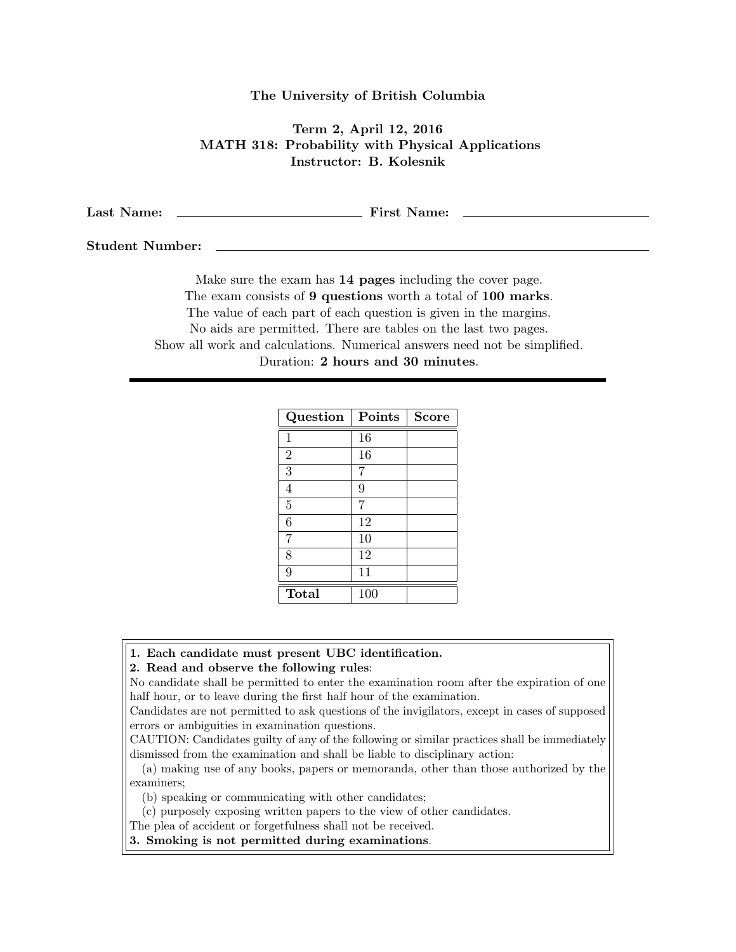## The University of British Columbia

## Term 2, April 12, 2016 MATH 318: Probability with Physical Applications Instructor: B. Kolesnik

Last Name: First Name:

Student Number:

Make sure the exam has 14 pages including the cover page. The exam consists of 9 questions worth a total of 100 marks. The value of each part of each question is given in the margins. No aids are permitted. There are tables on the last two pages. Show all work and calculations. Numerical answers need not be simplified. Duration: 2 hours and 30 minutes.

| Question       | Points | <b>Score</b> |
|----------------|--------|--------------|
| 1              | 16     |              |
| $\overline{2}$ | 16     |              |
| 3              | 7      |              |
| 4              | 9      |              |
| $\overline{5}$ | 7      |              |
| 6              | 12     |              |
| 7              | 10     |              |
| 8              | 12     |              |
| 9              | 11     |              |
| <b>Total</b>   | 100    |              |

## 1. Each candidate must present UBC identification.

2. Read and observe the following rules:

No candidate shall be permitted to enter the examination room after the expiration of one half hour, or to leave during the first half hour of the examination.

Candidates are not permitted to ask questions of the invigilators, except in cases of supposed errors or ambiguities in examination questions.

CAUTION: Candidates guilty of any of the following or similar practices shall be immediately dismissed from the examination and shall be liable to disciplinary action:

(a) making use of any books, papers or memoranda, other than those authorized by the examiners;

(b) speaking or communicating with other candidates;

(c) purposely exposing written papers to the view of other candidates.

The plea of accident or forgetfulness shall not be received.

3. Smoking is not permitted during examinations.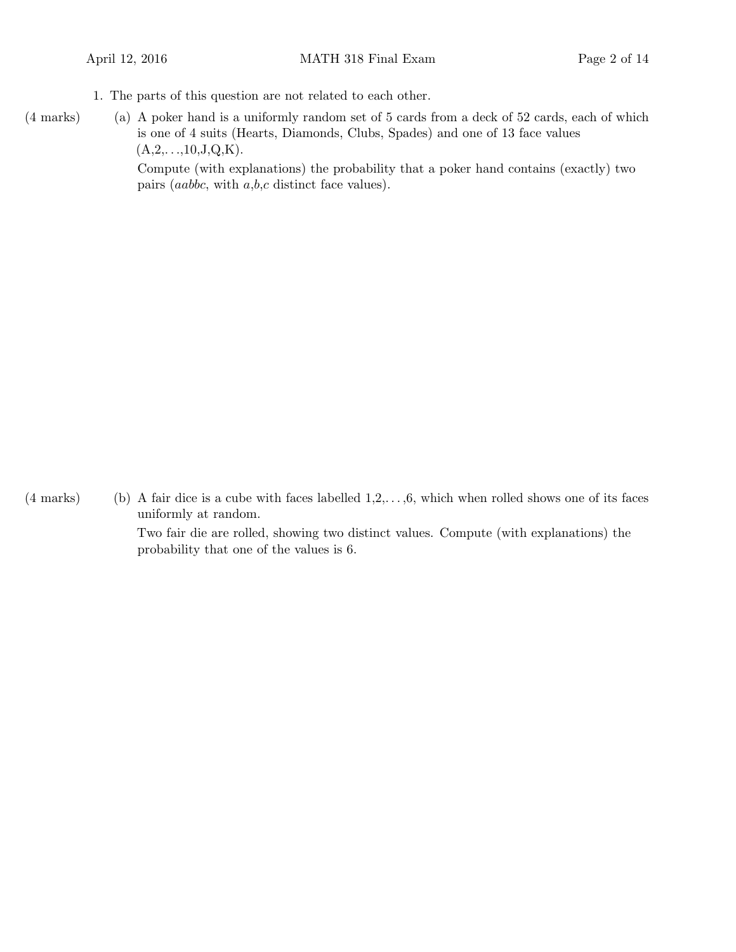1. The parts of this question are not related to each other.

(a)(4 marks) A poker hand is a uniformly random set of 5 cards from a deck of 52 cards, each of which is one of 4 suits (Hearts, Diamonds, Clubs, Spades) and one of 13 face values  $(A,2,...,10,J,Q,K).$ 

Compute (with explanations) the probability that a poker hand contains (exactly) two pairs (aabbc, with a,b,c distinct face values).

 $(4 \text{ marks})$  (b) A fair dice is a cube with faces labelled  $1,2,\ldots, 6$ , which when rolled shows one of its faces uniformly at random.

Two fair die are rolled, showing two distinct values. Compute (with explanations) the probability that one of the values is 6.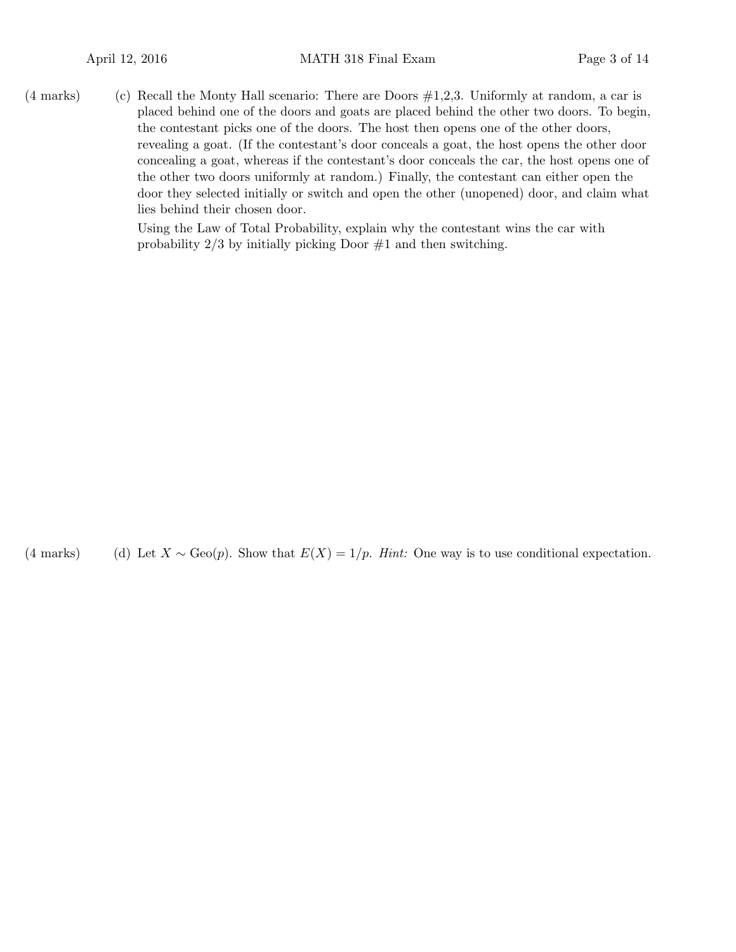(4 marks) (c) Recall the Monty Hall scenario: There are Doors  $\#1,2,3$ . Uniformly at random, a car is placed behind one of the doors and goats are placed behind the other two doors. To begin, the contestant picks one of the doors. The host then opens one of the other doors, revealing a goat. (If the contestant's door conceals a goat, the host opens the other door concealing a goat, whereas if the contestant's door conceals the car, the host opens one of the other two doors uniformly at random.) Finally, the contestant can either open the door they selected initially or switch and open the other (unopened) door, and claim what lies behind their chosen door.

> Using the Law of Total Probability, explain why the contestant wins the car with probability  $2/3$  by initially picking Door  $\#1$  and then switching.

(4 marks) (d) Let  $X \sim \text{Geo}(p)$ . Show that  $E(X) = 1/p$ . Hint: One way is to use conditional expectation.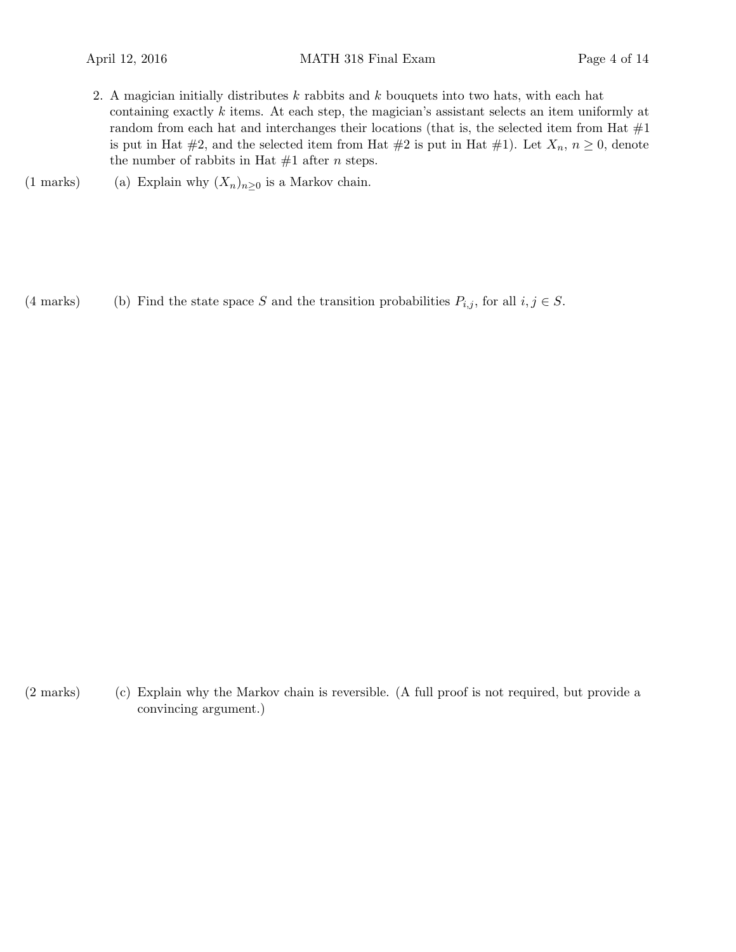- 2. A magician initially distributes  $k$  rabbits and  $k$  bouquets into two hats, with each hat containing exactly k items. At each step, the magician's assistant selects an item uniformly at random from each hat and interchanges their locations (that is, the selected item from Hat  $\#1$ is put in Hat #2, and the selected item from Hat #2 is put in Hat #1). Let  $X_n$ ,  $n \geq 0$ , denote the number of rabbits in Hat  $#1$  after *n* steps.
- (1 marks) (a) Explain why  $(X_n)_{n\geq 0}$  is a Markov chain.

(4 marks) Find the state space S and the transition probabilities  $P_{i,j}$ , for all  $i, j \in S$ .

(2 marks) (c) Explain why the Markov chain is reversible. (A full proof is not required, but provide a convincing argument.)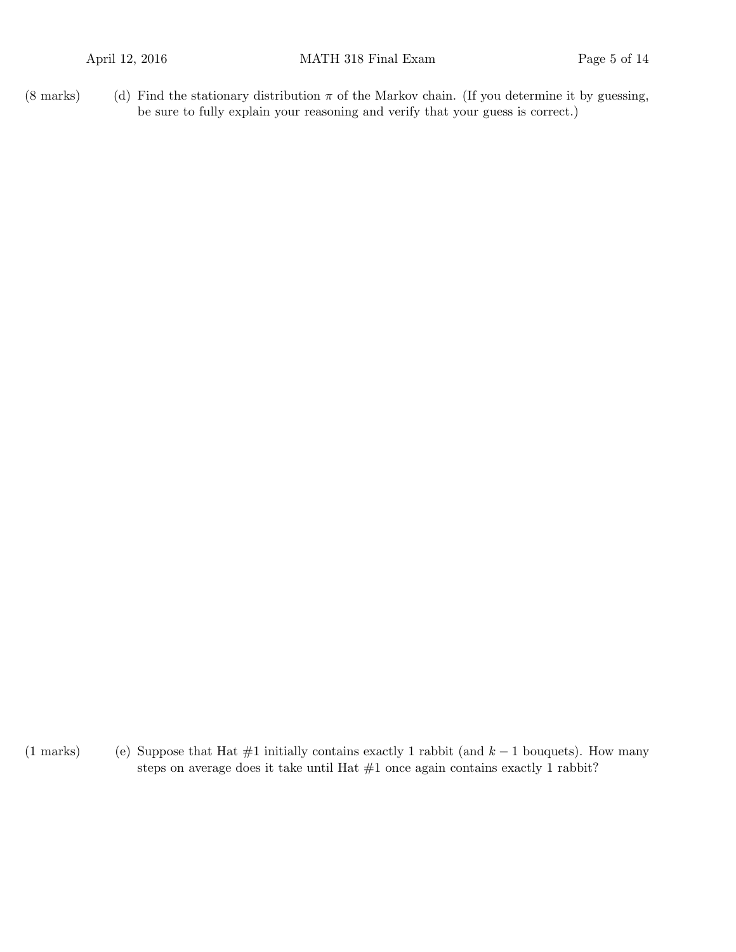(8 marks) (d) Find the stationary distribution  $\pi$  of the Markov chain. (If you determine it by guessing, be sure to fully explain your reasoning and verify that your guess is correct.)

(1 marks) (e) Suppose that Hat #1 initially contains exactly 1 rabbit (and  $k - 1$  bouquets). How many steps on average does it take until Hat  $#1$  once again contains exactly 1 rabbit?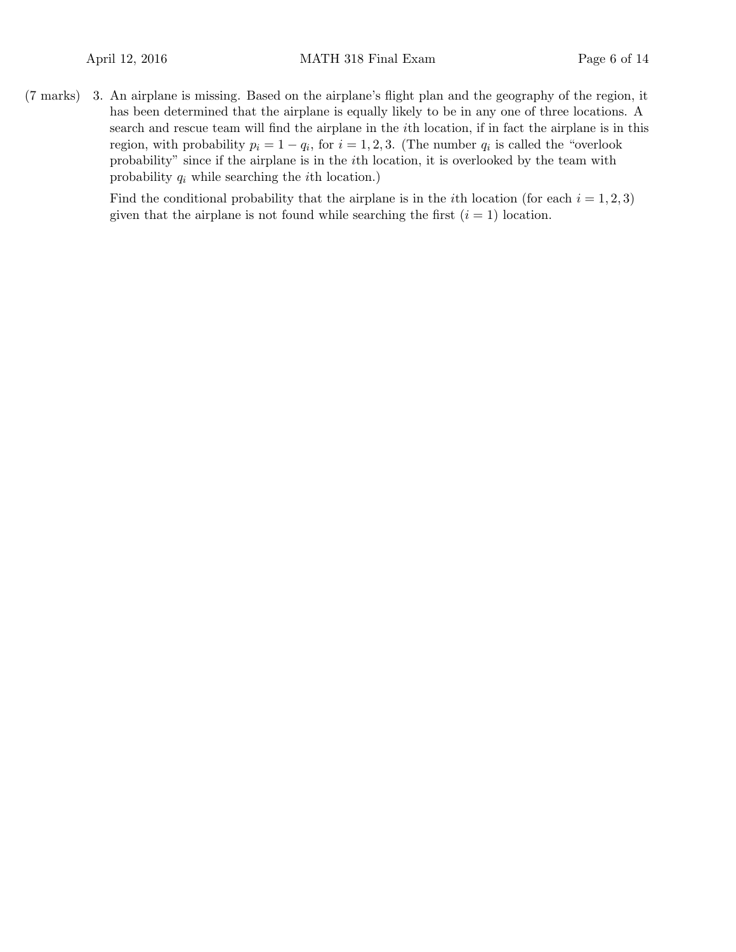3.(7 marks) An airplane is missing. Based on the airplane's flight plan and the geography of the region, it has been determined that the airplane is equally likely to be in any one of three locations. A search and rescue team will find the airplane in the ith location, if in fact the airplane is in this region, with probability  $p_i = 1 - q_i$ , for  $i = 1, 2, 3$ . (The number  $q_i$  is called the "overlook" probability" since if the airplane is in the ith location, it is overlooked by the team with probability  $q_i$  while searching the *i*th location.)

> Find the conditional probability that the airplane is in the *i*th location (for each  $i = 1, 2, 3$ ) given that the airplane is not found while searching the first  $(i = 1)$  location.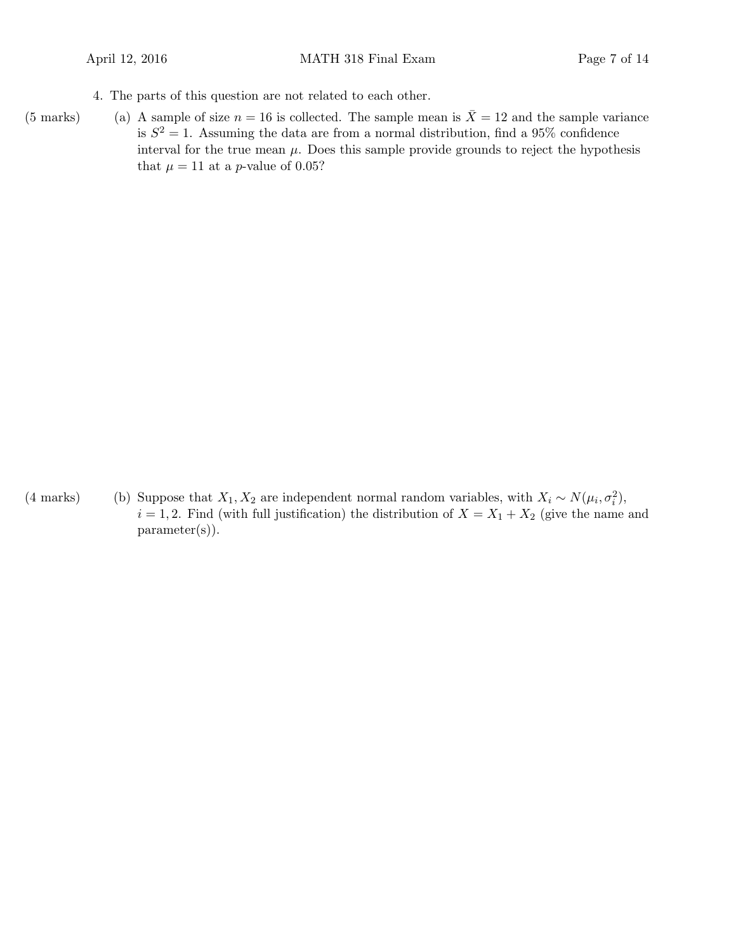4. The parts of this question are not related to each other.

(5 marks) (a) A sample of size  $n = 16$  is collected. The sample mean is  $\overline{X} = 12$  and the sample variance is  $S^2 = 1$ . Assuming the data are from a normal distribution, find a 95% confidence interval for the true mean  $\mu$ . Does this sample provide grounds to reject the hypothesis that  $\mu = 11$  at a *p*-value of 0.05?

(4 marks) (b) Suppose that  $X_1, X_2$  are independent normal random variables, with  $X_i \sim N(\mu_i, \sigma_i^2)$ ,  $i = 1, 2$ . Find (with full justification) the distribution of  $X = X_1 + X_2$  (give the name and parameter(s)).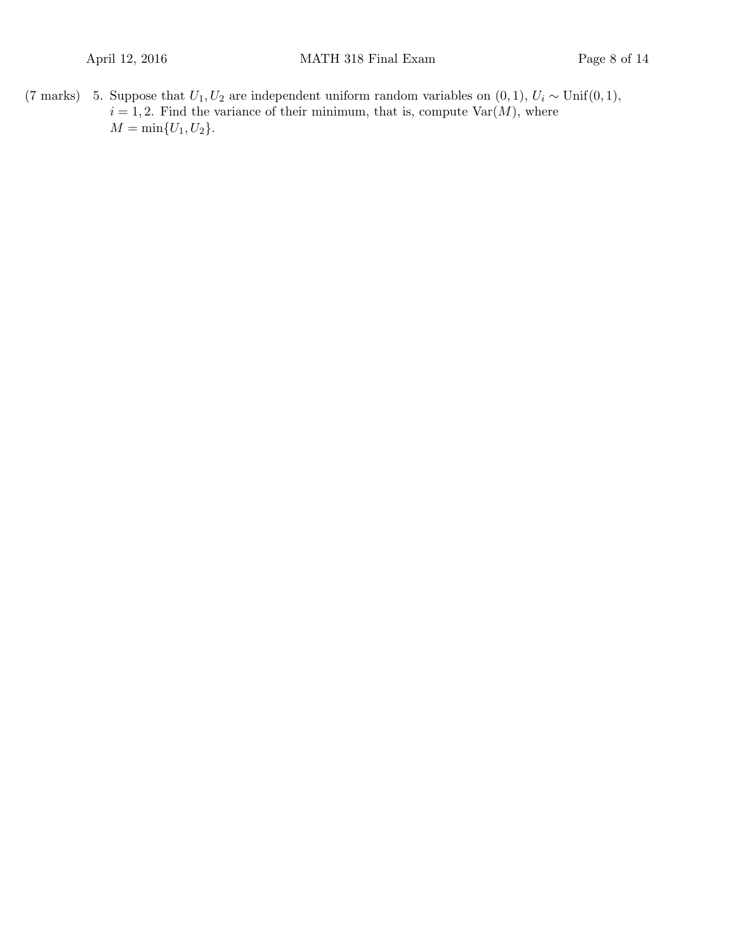(7 marks) 5. Suppose that  $U_1, U_2$  are independent uniform random variables on  $(0, 1), U_i \sim \text{Unif}(0, 1),$  $i = 1, 2$ . Find the variance of their minimum, that is, compute  $\text{Var}(M)$ , where  $M = \min\{U_1, U_2\}.$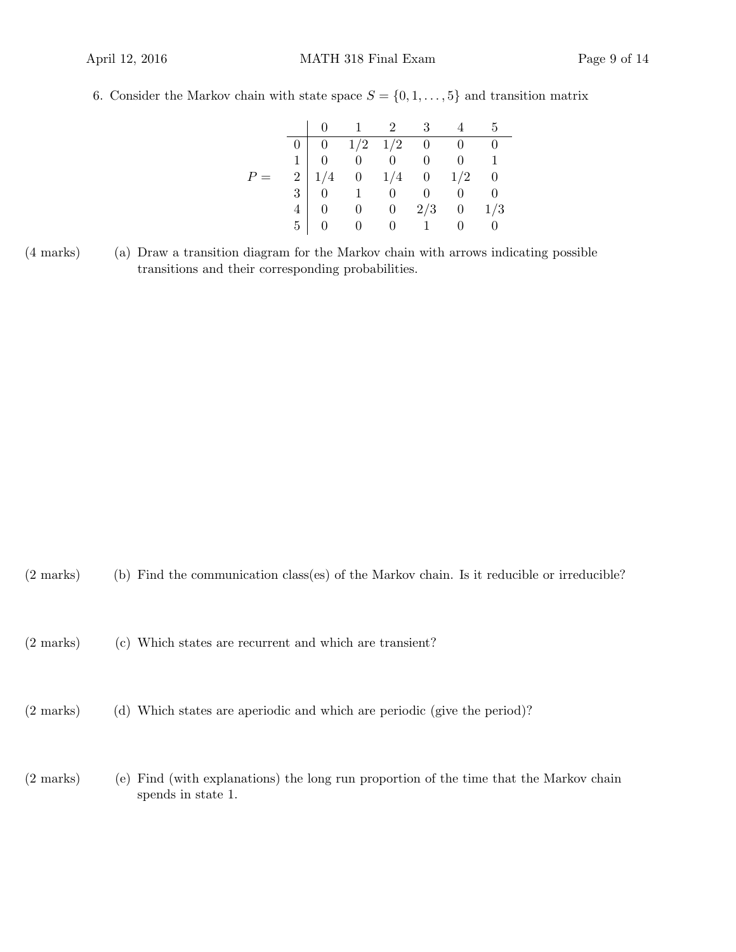6. Consider the Markov chain with state space  $S = \{0, 1, \ldots, 5\}$  and transition matrix

|  |                                                                                                                                                                                                                               | $\begin{matrix} 0 & 1 & 2 & 3 & 4 & 5 \end{matrix}$ |  |  |
|--|-------------------------------------------------------------------------------------------------------------------------------------------------------------------------------------------------------------------------------|-----------------------------------------------------|--|--|
|  |                                                                                                                                                                                                                               |                                                     |  |  |
|  |                                                                                                                                                                                                                               |                                                     |  |  |
|  |                                                                                                                                                                                                                               |                                                     |  |  |
|  |                                                                                                                                                                                                                               |                                                     |  |  |
|  |                                                                                                                                                                                                                               |                                                     |  |  |
|  | $\begin{array}{c cccccc} 0 & 0 & 1/2 & 1/2 & 0 & 0 & 0 \\ 0 & 0 & 0 & 0 & 0 & 1 \\ 2 & 1/4 & 0 & 1/4 & 0 & 1/2 & 0 \\ 3 & 0 & 1 & 0 & 0 & 0 & 0 \\ 4 & 0 & 0 & 0 & 2/3 & 0 & 1/3 \\ 5 & 0 & 0 & 0 & 1 & 0 & 0 \\ \end{array}$ |                                                     |  |  |

(a)(4 marks) Draw a transition diagram for the Markov chain with arrows indicating possible transitions and their corresponding probabilities.

- $(2 \text{ marks})$  (b) Find the communication class(es) of the Markov chain. Is it reducible or irreducible?
- (2 marks) (c) Which states are recurrent and which are transient?
- (d)(2 marks) Which states are aperiodic and which are periodic (give the period)?
- (2 marks) (e) Find (with explanations) the long run proportion of the time that the Markov chain spends in state 1.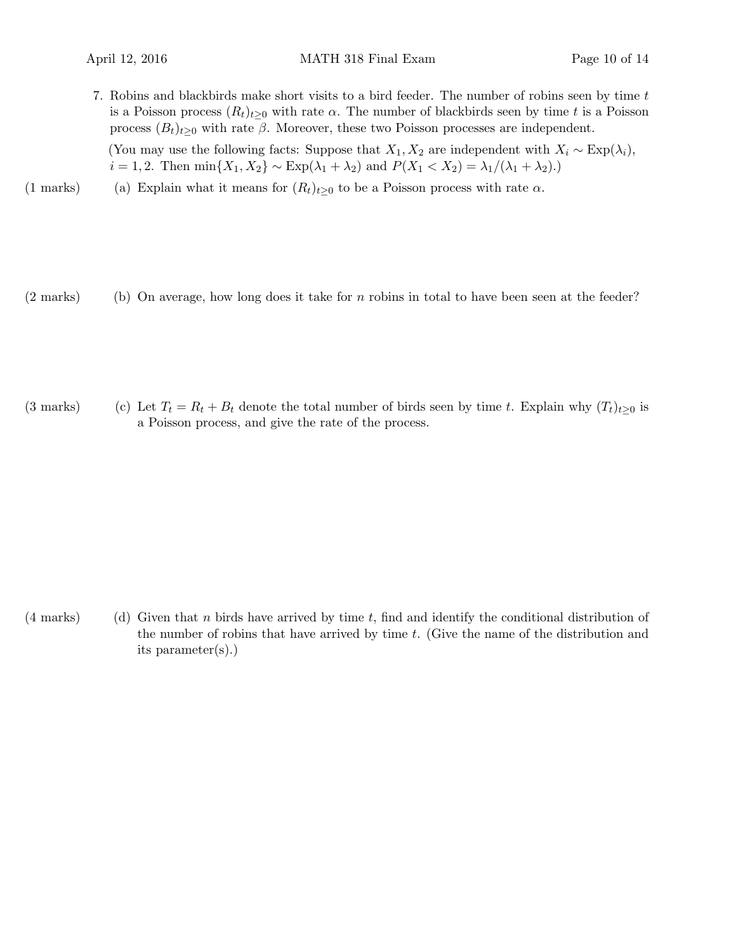7. Robins and blackbirds make short visits to a bird feeder. The number of robins seen by time t is a Poisson process  $(R_t)_{t>0}$  with rate  $\alpha$ . The number of blackbirds seen by time t is a Poisson process  $(B_t)_{t\geq0}$  with rate  $\beta$ . Moreover, these two Poisson processes are independent.

(You may use the following facts: Suppose that  $X_1, X_2$  are independent with  $X_i \sim \text{Exp}(\lambda_i)$ ,  $i = 1, 2$ . Then  $\min\{X_1, X_2\} \sim \text{Exp}(\lambda_1 + \lambda_2)$  and  $P(X_1 < X_2) = \lambda_1/(\lambda_1 + \lambda_2)$ .)

- (1 marks) (a) Explain what it means for  $(R_t)_{t\geq0}$  to be a Poisson process with rate  $\alpha$ .
- $(2 \text{ marks})$  (b) On average, how long does it take for n robins in total to have been seen at the feeder?

(3 marks) (c) Let  $T_t = R_t + B_t$  denote the total number of birds seen by time t. Explain why  $(T_t)_{t\geq0}$  is a Poisson process, and give the rate of the process.

(4 marks) Given that n birds have arrived by time t, find and identify the conditional distribution of the number of robins that have arrived by time t. (Give the name of the distribution and its parameter(s).)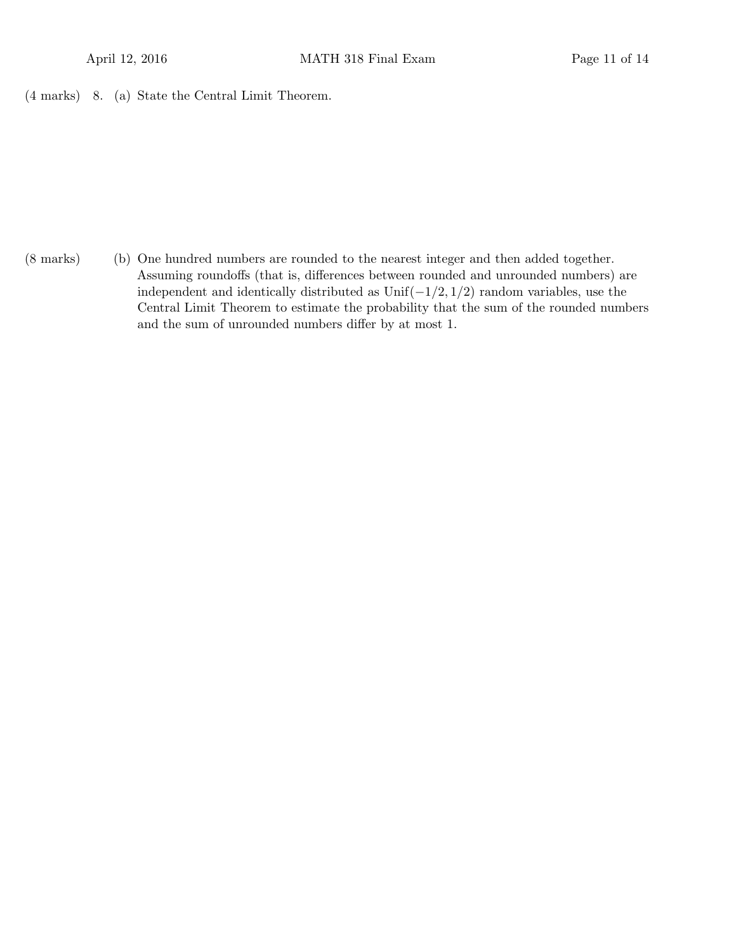8. (a)(4 marks) State the Central Limit Theorem.

(b)(8 marks) One hundred numbers are rounded to the nearest integer and then added together. Assuming roundoffs (that is, differences between rounded and unrounded numbers) are independent and identically distributed as  $Unif(-1/2, 1/2)$  random variables, use the Central Limit Theorem to estimate the probability that the sum of the rounded numbers and the sum of unrounded numbers differ by at most 1.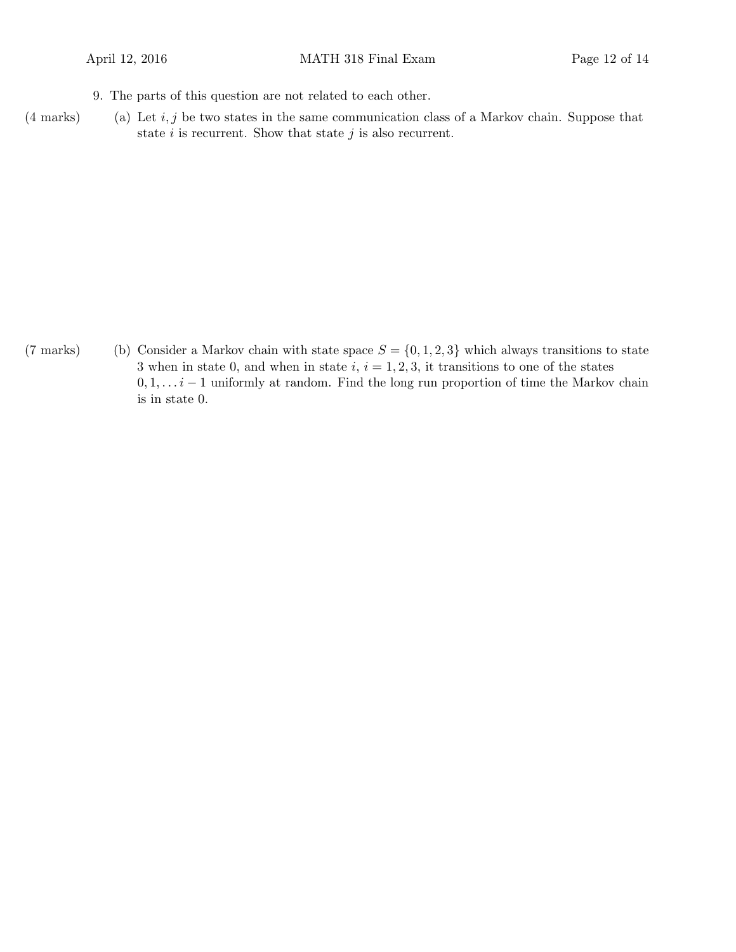- 9. The parts of this question are not related to each other.
- $(4 \text{ marks})$  (a) Let i, j be two states in the same communication class of a Markov chain. Suppose that state  $i$  is recurrent. Show that state  $j$  is also recurrent.

(7 marks) (b) Consider a Markov chain with state space  $S = \{0, 1, 2, 3\}$  which always transitions to state 3 when in state 0, and when in state  $i, i = 1, 2, 3$ , it transitions to one of the states  $0, 1, \ldots i-1$  uniformly at random. Find the long run proportion of time the Markov chain is in state 0.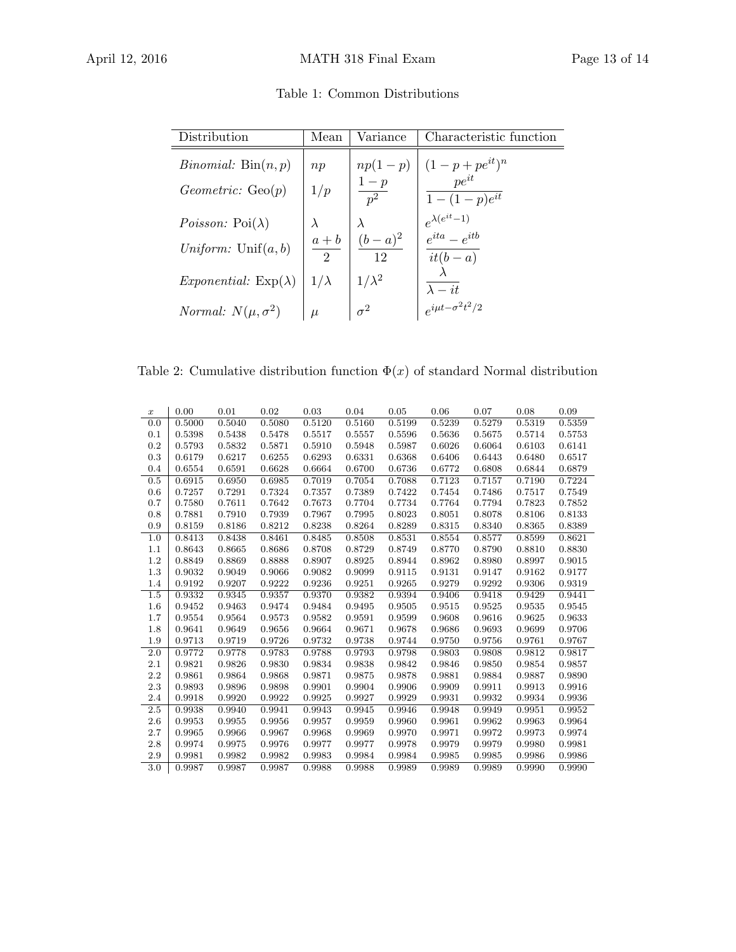| Table 1: Common Distributions |
|-------------------------------|
|-------------------------------|

| Distribution                       | Mean                      | Variance             | Characteristic function                                                                                                                                                                                       |
|------------------------------------|---------------------------|----------------------|---------------------------------------------------------------------------------------------------------------------------------------------------------------------------------------------------------------|
| <i>Binomial:</i> $Bin(n, p)$       | np                        |                      |                                                                                                                                                                                                               |
| Geometric: Geo(p)                  | 1/p                       |                      | $\left \begin{array}{c} np(1-p) \ \hline 1-p \ \hline p^2 \end{array}\right  \left \begin{array}{c} (1-p+pe^{it})^n \ \hline pe^{it} \ \hline 1-(1-p)e^{it} \end{array}\right $<br>$\overline{1-(1-p)e^{it}}$ |
| <i>Poisson:</i> $Poi(\lambda)$     |                           | $\lambda$            | $e^{\lambda(e^{it}-1)}$<br>$e^{ita}-e^{itb}$                                                                                                                                                                  |
| Uniform: $Unif(a, b)$              | $a + b$<br>$\overline{2}$ | $\frac{(b-a)^2}{12}$ | $it(b-a)$                                                                                                                                                                                                     |
| <i>Exponential:</i> $Exp(\lambda)$ | $1/\lambda$               | $1/\lambda^2$        | $\lambda - it$                                                                                                                                                                                                |
| <i>Normal:</i> $N(\mu, \sigma^2)$  | $\mu$                     | $\sigma^2$           | $e^{i\mu t - \sigma^2 t^2/2}$                                                                                                                                                                                 |

Table 2: Cumulative distribution function  $\Phi(x)$  of standard Normal distribution

| $\boldsymbol{x}$ | 0.00   | 0.01   | 0.02   | 0.03   | 0.04   | 0.05   | 0.06   | 0.07   | 0.08   | 0.09   |
|------------------|--------|--------|--------|--------|--------|--------|--------|--------|--------|--------|
| 0.0              | 0.5000 | 0.5040 | 0.5080 | 0.5120 | 0.5160 | 0.5199 | 0.5239 | 0.5279 | 0.5319 | 0.5359 |
| 0.1              | 0.5398 | 0.5438 | 0.5478 | 0.5517 | 0.5557 | 0.5596 | 0.5636 | 0.5675 | 0.5714 | 0.5753 |
| 0.2              | 0.5793 | 0.5832 | 0.5871 | 0.5910 | 0.5948 | 0.5987 | 0.6026 | 0.6064 | 0.6103 | 0.6141 |
| 0.3              | 0.6179 | 0.6217 | 0.6255 | 0.6293 | 0.6331 | 0.6368 | 0.6406 | 0.6443 | 0.6480 | 0.6517 |
| 0.4              | 0.6554 | 0.6591 | 0.6628 | 0.6664 | 0.6700 | 0.6736 | 0.6772 | 0.6808 | 0.6844 | 0.6879 |
| 0.5              | 0.6915 | 0.6950 | 0.6985 | 0.7019 | 0.7054 | 0.7088 | 0.7123 | 0.7157 | 0.7190 | 0.7224 |
| 0.6              | 0.7257 | 0.7291 | 0.7324 | 0.7357 | 0.7389 | 0.7422 | 0.7454 | 0.7486 | 0.7517 | 0.7549 |
| 0.7              | 0.7580 | 0.7611 | 0.7642 | 0.7673 | 0.7704 | 0.7734 | 0.7764 | 0.7794 | 0.7823 | 0.7852 |
| 0.8              | 0.7881 | 0.7910 | 0.7939 | 0.7967 | 0.7995 | 0.8023 | 0.8051 | 0.8078 | 0.8106 | 0.8133 |
| 0.9              | 0.8159 | 0.8186 | 0.8212 | 0.8238 | 0.8264 | 0.8289 | 0.8315 | 0.8340 | 0.8365 | 0.8389 |
| 1.0              | 0.8413 | 0.8438 | 0.8461 | 0.8485 | 0.8508 | 0.8531 | 0.8554 | 0.8577 | 0.8599 | 0.8621 |
| 1.1              | 0.8643 | 0.8665 | 0.8686 | 0.8708 | 0.8729 | 0.8749 | 0.8770 | 0.8790 | 0.8810 | 0.8830 |
| 1.2              | 0.8849 | 0.8869 | 0.8888 | 0.8907 | 0.8925 | 0.8944 | 0.8962 | 0.8980 | 0.8997 | 0.9015 |
| 1.3              | 0.9032 | 0.9049 | 0.9066 | 0.9082 | 0.9099 | 0.9115 | 0.9131 | 0.9147 | 0.9162 | 0.9177 |
| 1.4              | 0.9192 | 0.9207 | 0.9222 | 0.9236 | 0.9251 | 0.9265 | 0.9279 | 0.9292 | 0.9306 | 0.9319 |
| 1.5              | 0.9332 | 0.9345 | 0.9357 | 0.9370 | 0.9382 | 0.9394 | 0.9406 | 0.9418 | 0.9429 | 0.9441 |
| 1.6              | 0.9452 | 0.9463 | 0.9474 | 0.9484 | 0.9495 | 0.9505 | 0.9515 | 0.9525 | 0.9535 | 0.9545 |
| 1.7              | 0.9554 | 0.9564 | 0.9573 | 0.9582 | 0.9591 | 0.9599 | 0.9608 | 0.9616 | 0.9625 | 0.9633 |
| 1.8              | 0.9641 | 0.9649 | 0.9656 | 0.9664 | 0.9671 | 0.9678 | 0.9686 | 0.9693 | 0.9699 | 0.9706 |
| 1.9              | 0.9713 | 0.9719 | 0.9726 | 0.9732 | 0.9738 | 0.9744 | 0.9750 | 0.9756 | 0.9761 | 0.9767 |
| 2.0              | 0.9772 | 0.9778 | 0.9783 | 0.9788 | 0.9793 | 0.9798 | 0.9803 | 0.9808 | 0.9812 | 0.9817 |
| 2.1              | 0.9821 | 0.9826 | 0.9830 | 0.9834 | 0.9838 | 0.9842 | 0.9846 | 0.9850 | 0.9854 | 0.9857 |
| 2.2              | 0.9861 | 0.9864 | 0.9868 | 0.9871 | 0.9875 | 0.9878 | 0.9881 | 0.9884 | 0.9887 | 0.9890 |
| 2.3              | 0.9893 | 0.9896 | 0.9898 | 0.9901 | 0.9904 | 0.9906 | 0.9909 | 0.9911 | 0.9913 | 0.9916 |
| 2.4              | 0.9918 | 0.9920 | 0.9922 | 0.9925 | 0.9927 | 0.9929 | 0.9931 | 0.9932 | 0.9934 | 0.9936 |
| 2.5              | 0.9938 | 0.9940 | 0.9941 | 0.9943 | 0.9945 | 0.9946 | 0.9948 | 0.9949 | 0.9951 | 0.9952 |
| 2.6              | 0.9953 | 0.9955 | 0.9956 | 0.9957 | 0.9959 | 0.9960 | 0.9961 | 0.9962 | 0.9963 | 0.9964 |
| 2.7              | 0.9965 | 0.9966 | 0.9967 | 0.9968 | 0.9969 | 0.9970 | 0.9971 | 0.9972 | 0.9973 | 0.9974 |
| 2.8              | 0.9974 | 0.9975 | 0.9976 | 0.9977 | 0.9977 | 0.9978 | 0.9979 | 0.9979 | 0.9980 | 0.9981 |
| 2.9              | 0.9981 | 0.9982 | 0.9982 | 0.9983 | 0.9984 | 0.9984 | 0.9985 | 0.9985 | 0.9986 | 0.9986 |
| 3.0              | 0.9987 | 0.9987 | 0.9987 | 0.9988 | 0.9988 | 0.9989 | 0.9989 | 0.9989 | 0.9990 | 0.9990 |